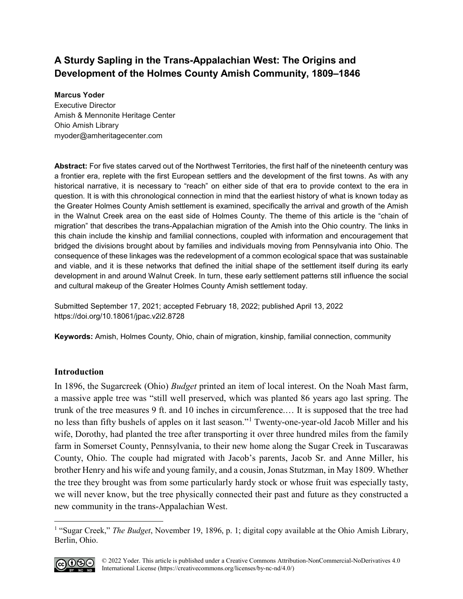# **A Sturdy Sapling in the Trans-Appalachian West: The Origins and Development of the Holmes County Amish Community, 1809–1846**

# **Marcus Yoder**

Executive Director Amish & Mennonite Heritage Center Ohio Amish Library [myoder@amheritagecenter.com](mailto:myoder@amheritagecenter.com)

**Abstract:** For five states carved out of the Northwest Territories, the first half of the nineteenth century was a frontier era, replete with the first European settlers and the development of the first towns. As with any historical narrative, it is necessary to "reach" on either side of that era to provide context to the era in question. It is with this chronological connection in mind that the earliest history of what is known today as the Greater Holmes County Amish settlement is examined, specifically the arrival and growth of the Amish in the Walnut Creek area on the east side of Holmes County. The theme of this article is the "chain of migration" that describes the trans-Appalachian migration of the Amish into the Ohio country. The links in this chain include the kinship and familial connections, coupled with information and encouragement that bridged the divisions brought about by families and individuals moving from Pennsylvania into Ohio. The consequence of these linkages was the redevelopment of a common ecological space that was sustainable and viable, and it is these networks that defined the initial shape of the settlement itself during its early development in and around Walnut Creek. In turn, these early settlement patterns still influence the social and cultural makeup of the Greater Holmes County Amish settlement today.

Submitted September 17, 2021; accepted February 18, 2022; published April 13, 2022 <https://doi.org/10.18061/jpac.v2i2.8728>

**Keywords:** Amish, Holmes County, Ohio, chain of migration, kinship, familial connection, community

# **Introduction**

In 1896, the Sugarcreek (Ohio) *Budget* printed an item of local interest. On the Noah Mast farm, a massive apple tree was "still well preserved, which was planted 86 years ago last spring. The trunk of the tree measures 9 ft. and 10 inches in circumference.… It is supposed that the tree had no less than fifty bushels of apples on it last season."[1](#page-0-0) Twenty-one-year-old Jacob Miller and his wife, Dorothy, had planted the tree after transporting it over three hundred miles from the family farm in Somerset County, Pennsylvania, to their new home along the Sugar Creek in Tuscarawas County, Ohio. The couple had migrated with Jacob's parents, Jacob Sr. and Anne Miller, his brother Henry and his wife and young family, and a cousin, Jonas Stutzman, in May 1809. Whether the tree they brought was from some particularly hardy stock or whose fruit was especially tasty, we will never know, but the tree physically connected their past and future as they constructed a new community in the trans-Appalachian West.

<span id="page-0-0"></span> $\overline{a}$ <sup>1</sup> "Sugar Creek," *The Budget*, November 19, 1896, p. 1; digital copy available at the Ohio Amish Library, Berlin, Ohio.

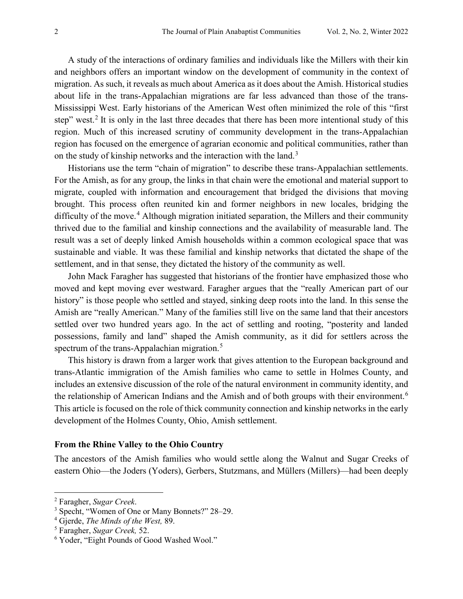A study of the interactions of ordinary families and individuals like the Millers with their kin and neighbors offers an important window on the development of community in the context of migration. As such, it reveals as much about America as it does about the Amish. Historical studies about life in the trans-Appalachian migrations are far less advanced than those of the trans-Mississippi West. Early historians of the American West often minimized the role of this "first step" west.<sup>[2](#page-1-0)</sup> It is only in the last three decades that there has been more intentional study of this region. Much of this increased scrutiny of community development in the trans-Appalachian region has focused on the emergence of agrarian economic and political communities, rather than on the study of kinship networks and the interaction with the land.<sup>[3](#page-1-1)</sup>

Historians use the term "chain of migration" to describe these trans-Appalachian settlements. For the Amish, as for any group, the links in that chain were the emotional and material support to migrate, coupled with information and encouragement that bridged the divisions that moving brought. This process often reunited kin and former neighbors in new locales, bridging the difficulty of the move.<sup>[4](#page-1-2)</sup> Although migration initiated separation, the Millers and their community thrived due to the familial and kinship connections and the availability of measurable land. The result was a set of deeply linked Amish households within a common ecological space that was sustainable and viable. It was these familial and kinship networks that dictated the shape of the settlement, and in that sense, they dictated the history of the community as well.

John Mack Faragher has suggested that historians of the frontier have emphasized those who moved and kept moving ever westward. Faragher argues that the "really American part of our history" is those people who settled and stayed, sinking deep roots into the land. In this sense the Amish are "really American." Many of the families still live on the same land that their ancestors settled over two hundred years ago. In the act of settling and rooting, "posterity and landed possessions, family and land" shaped the Amish community, as it did for settlers across the spectrum of the trans-Appalachian migration.<sup>[5](#page-1-3)</sup>

This history is drawn from a larger work that gives attention to the European background and trans-Atlantic immigration of the Amish families who came to settle in Holmes County, and includes an extensive discussion of the role of the natural environment in community identity, and the relationship of American Indians and the Amish and of both groups with their environment.<sup>[6](#page-1-4)</sup> This article is focused on the role of thick community connection and kinship networks in the early development of the Holmes County, Ohio, Amish settlement.

#### **From the Rhine Valley to the Ohio Country**

The ancestors of the Amish families who would settle along the Walnut and Sugar Creeks of eastern Ohio—the Joders (Yoders), Gerbers, Stutzmans, and Müllers (Millers)—had been deeply

<span id="page-1-0"></span> $\overline{a}$ <sup>2</sup> Faragher, *Sugar Creek.*<br><sup>3</sup> Specht "Women of One

<span id="page-1-1"></span><sup>&</sup>lt;sup>3</sup> Specht, "Women of One or Many Bonnets?" 28–29.

<span id="page-1-2"></span><sup>4</sup> Gjerde, *The Minds of the West,* 89.

<span id="page-1-3"></span><sup>5</sup> Faragher, *Sugar Creek,* 52.

<span id="page-1-4"></span><sup>6</sup> Yoder, "Eight Pounds of Good Washed Wool."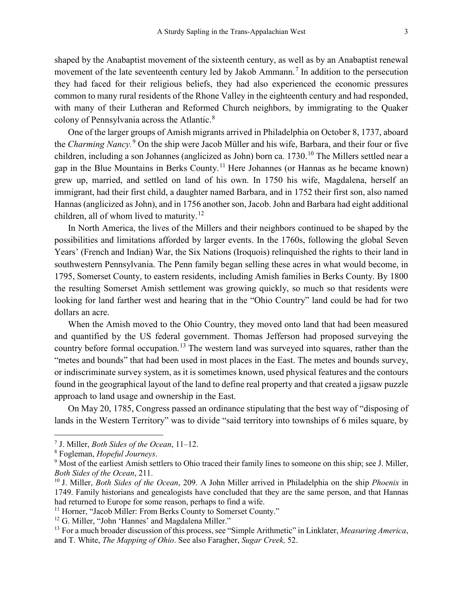shaped by the Anabaptist movement of the sixteenth century, as well as by an Anabaptist renewal movement of the late seventeenth century led by Jakob Ammann.<sup>[7](#page-2-0)</sup> In addition to the persecution they had faced for their religious beliefs, they had also experienced the economic pressures common to many rural residents of the Rhone Valley in the eighteenth century and had responded, with many of their Lutheran and Reformed Church neighbors, by immigrating to the Quaker colony of Pennsylvania across the Atlantic.<sup>[8](#page-2-1)</sup>

One of the larger groups of Amish migrants arrived in Philadelphia on October 8, 1737, aboard the *Charming Nancy.*[9](#page-2-2) On the ship were Jacob Müller and his wife, Barbara, and their four or five children, including a son Johannes (anglicized as John) born ca. 1730.<sup>[10](#page-2-3)</sup> The Millers settled near a gap in the Blue Mountains in Berks County.[11](#page-2-4) Here Johannes (or Hannas as he became known) grew up, married, and settled on land of his own. In 1750 his wife, Magdalena, herself an immigrant, had their first child, a daughter named Barbara, and in 1752 their first son, also named Hannas (anglicized as John), and in 1756 another son, Jacob. John and Barbara had eight additional children, all of whom lived to maturity.<sup>[12](#page-2-5)</sup>

In North America, the lives of the Millers and their neighbors continued to be shaped by the possibilities and limitations afforded by larger events. In the 1760s, following the global Seven Years' (French and Indian) War, the Six Nations (Iroquois) relinquished the rights to their land in southwestern Pennsylvania. The Penn family began selling these acres in what would become, in 1795, Somerset County, to eastern residents, including Amish families in Berks County. By 1800 the resulting Somerset Amish settlement was growing quickly, so much so that residents were looking for land farther west and hearing that in the "Ohio Country" land could be had for two dollars an acre.

When the Amish moved to the Ohio Country, they moved onto land that had been measured and quantified by the US federal government. Thomas Jefferson had proposed surveying the country before formal occupation.[13](#page-2-6) The western land was surveyed into squares, rather than the "metes and bounds" that had been used in most places in the East. The metes and bounds survey, or indiscriminate survey system, as it is sometimes known, used physical features and the contours found in the geographical layout of the land to define real property and that created a jigsaw puzzle approach to land usage and ownership in the East.

On May 20, 1785, Congress passed an ordinance stipulating that the best way of "disposing of lands in the Western Territory" was to divide "said territory into townships of 6 miles square, by

<span id="page-2-5"></span><sup>12</sup> G. Miller, "John 'Hannes' and Magdalena Miller."

 $\overline{\phantom{a}}$ <sup>7</sup> J. Miller, *Both Sides of the Ocean*, 11–12.

<span id="page-2-1"></span><span id="page-2-0"></span><sup>&</sup>lt;sup>8</sup> Fogleman, *Hopeful Journeys*.

<span id="page-2-2"></span><sup>&</sup>lt;sup>9</sup> Most of the earliest Amish settlers to Ohio traced their family lines to someone on this ship; see J. Miller, *Both Sides of the Ocean*, 211.

<span id="page-2-3"></span><sup>10</sup> J. Miller, *Both Sides of the Ocean*, 209. A John Miller arrived in Philadelphia on the ship *Phoenix* in 1749. Family historians and genealogists have concluded that they are the same person, and that Hannas had returned to Europe for some reason, perhaps to find a wife.

<span id="page-2-4"></span><sup>&</sup>lt;sup>11</sup> Horner, "Jacob Miller: From Berks County to Somerset County."

<span id="page-2-6"></span><sup>13</sup> For a much broader discussion of this process, see "Simple Arithmetic" in Linklater, *Measuring America*, and T. White, *The Mapping of Ohio*. See also Faragher, *Sugar Creek,* 52.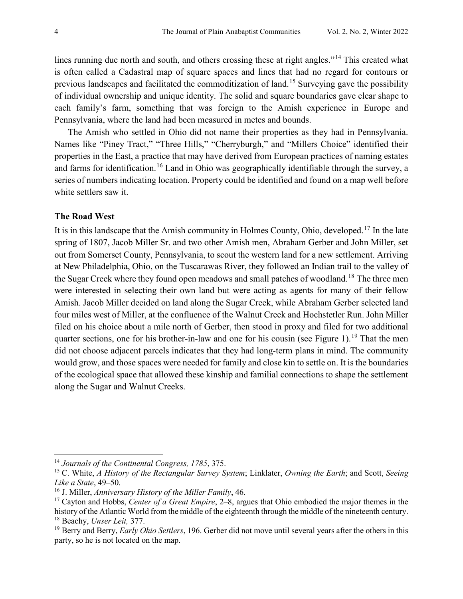lines running due north and south, and others crossing these at right angles."<sup>[14](#page-3-0)</sup> This created what is often called a Cadastral map of square spaces and lines that had no regard for contours or previous landscapes and facilitated the commoditization of land.[15](#page-3-1) Surveying gave the possibility of individual ownership and unique identity. The solid and square boundaries gave clear shape to each family's farm, something that was foreign to the Amish experience in Europe and Pennsylvania, where the land had been measured in metes and bounds.

The Amish who settled in Ohio did not name their properties as they had in Pennsylvania. Names like "Piney Tract," "Three Hills," "Cherryburgh," and "Millers Choice" identified their properties in the East, a practice that may have derived from European practices of naming estates and farms for identification.<sup>[16](#page-3-2)</sup> Land in Ohio was geographically identifiable through the survey, a series of numbers indicating location. Property could be identified and found on a map well before white settlers saw it.

#### **The Road West**

It is in this landscape that the Amish community in Holmes County, Ohio, developed.[17](#page-3-3) In the late spring of 1807, Jacob Miller Sr. and two other Amish men, Abraham Gerber and John Miller, set out from Somerset County, Pennsylvania, to scout the western land for a new settlement. Arriving at New Philadelphia, Ohio, on the Tuscarawas River, they followed an Indian trail to the valley of the Sugar Creek where they found open meadows and small patches of woodland.<sup>[18](#page-3-4)</sup> The three men were interested in selecting their own land but were acting as agents for many of their fellow Amish. Jacob Miller decided on land along the Sugar Creek, while Abraham Gerber selected land four miles west of Miller, at the confluence of the Walnut Creek and Hochstetler Run. John Miller filed on his choice about a mile north of Gerber, then stood in proxy and filed for two additional quarter sections, one for his brother-in-law and one for his cousin (see Figure 1).<sup>[19](#page-3-5)</sup> That the men did not choose adjacent parcels indicates that they had long-term plans in mind. The community would grow, and those spaces were needed for family and close kin to settle on. It is the boundaries of the ecological space that allowed these kinship and familial connections to shape the settlement along the Sugar and Walnut Creeks.

 $\overline{a}$ <sup>14</sup> *Journals of the Continental Congress, 1785*, 375.

<span id="page-3-1"></span><span id="page-3-0"></span><sup>15</sup> C. White, *A History of the Rectangular Survey System*; Linklater, *Owning the Earth*; and Scott, *Seeing Like a State*, 49–50.

<span id="page-3-2"></span><sup>16</sup> J. Miller, *Anniversary History of the Miller Family*, 46.

<span id="page-3-3"></span><sup>17</sup> Cayton and Hobbs, *Center of a Great Empire*, 2–8, argues that Ohio embodied the major themes in the history of the Atlantic World from the middle of the eighteenth through the middle of the nineteenth century. <sup>18</sup> Beachy, *Unser Leit,* 377.

<span id="page-3-5"></span><span id="page-3-4"></span><sup>&</sup>lt;sup>19</sup> Berry and Berry, *Early Ohio Settlers*, 196. Gerber did not move until several years after the others in this party, so he is not located on the map.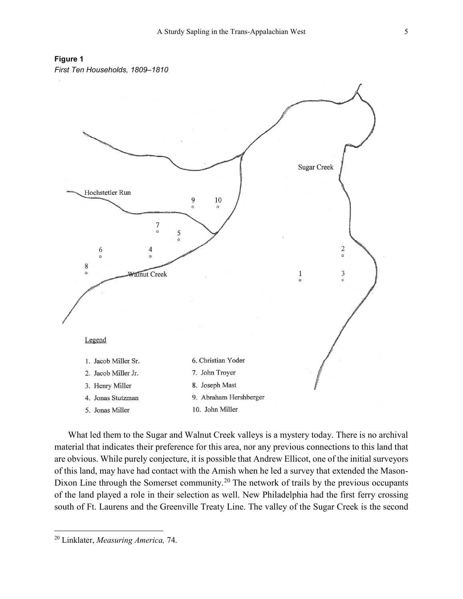# **Figure 1**

*First Ten Households, 1809–1810*



What led them to the Sugar and Walnut Creek valleys is a mystery today. There is no archival material that indicates their preference for this area, nor any previous connections to this land that are obvious. While purely conjecture, it is possible that Andrew Ellicot, one of the initial surveyors of this land, may have had contact with the Amish when he led a survey that extended the Mason-Dixon Line through the Somerset community.<sup>[20](#page-4-0)</sup> The network of trails by the previous occupants of the land played a role in their selection as well. New Philadelphia had the first ferry crossing south of Ft. Laurens and the Greenville Treaty Line. The valley of the Sugar Creek is the second

<span id="page-4-0"></span> $\overline{a}$ 20 Linklater, *Measuring America,* 74.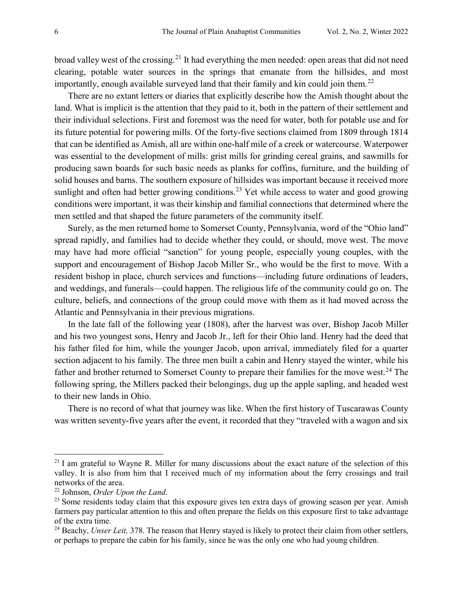broad valley west of the crossing.[21](#page-5-0) It had everything the men needed: open areas that did not need clearing, potable water sources in the springs that emanate from the hillsides, and most importantly, enough available surveyed land that their family and kin could join them.<sup>[22](#page-5-1)</sup>

There are no extant letters or diaries that explicitly describe how the Amish thought about the land. What is implicit is the attention that they paid to it, both in the pattern of their settlement and their individual selections. First and foremost was the need for water, both for potable use and for its future potential for powering mills. Of the forty-five sections claimed from 1809 through 1814 that can be identified as Amish, all are within one-half mile of a creek or watercourse. Waterpower was essential to the development of mills: grist mills for grinding cereal grains, and sawmills for producing sawn boards for such basic needs as planks for coffins, furniture, and the building of solid houses and barns. The southern exposure of hillsides was important because it received more sunlight and often had better growing conditions.<sup>[23](#page-5-2)</sup> Yet while access to water and good growing conditions were important, it was their kinship and familial connections that determined where the men settled and that shaped the future parameters of the community itself.

Surely, as the men returned home to Somerset County, Pennsylvania, word of the "Ohio land" spread rapidly, and families had to decide whether they could, or should, move west. The move may have had more official "sanction" for young people, especially young couples, with the support and encouragement of Bishop Jacob Miller Sr., who would be the first to move. With a resident bishop in place, church services and functions—including future ordinations of leaders, and weddings, and funerals—could happen. The religious life of the community could go on. The culture, beliefs, and connections of the group could move with them as it had moved across the Atlantic and Pennsylvania in their previous migrations.

In the late fall of the following year (1808), after the harvest was over, Bishop Jacob Miller and his two youngest sons, Henry and Jacob Jr., left for their Ohio land. Henry had the deed that his father filed for him, while the younger Jacob, upon arrival, immediately filed for a quarter section adjacent to his family. The three men built a cabin and Henry stayed the winter, while his father and brother returned to Somerset County to prepare their families for the move west.<sup>[24](#page-5-3)</sup> The following spring, the Millers packed their belongings, dug up the apple sapling, and headed west to their new lands in Ohio.

There is no record of what that journey was like. When the first history of Tuscarawas County was written seventy-five years after the event, it recorded that they "traveled with a wagon and six

<span id="page-5-0"></span> $21$  I am grateful to Wayne R. Miller for many discussions about the exact nature of the selection of this valley. It is also from him that I received much of my information about the ferry crossings and trail networks of the area.<br><sup>22</sup> Johnson, *Order Upon the Land*.

<span id="page-5-1"></span>

<span id="page-5-2"></span><sup>&</sup>lt;sup>23</sup> Some residents today claim that this exposure gives ten extra days of growing season per year. Amish farmers pay particular attention to this and often prepare the fields on this exposure first to take advantage of the extra time.

<span id="page-5-3"></span><sup>&</sup>lt;sup>24</sup> Beachy, *Unser Leit*, 378. The reason that Henry stayed is likely to protect their claim from other settlers, or perhaps to prepare the cabin for his family, since he was the only one who had young children.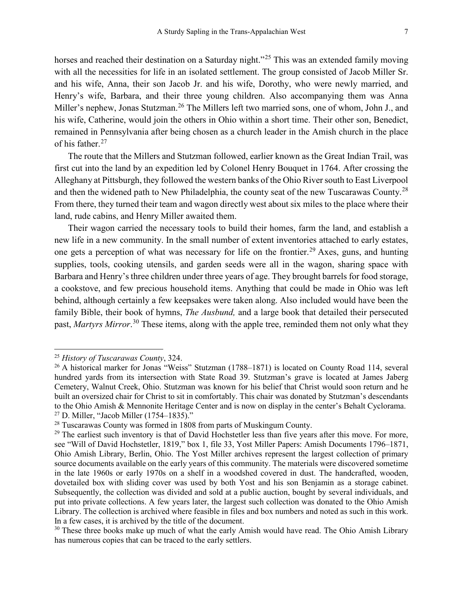horses and reached their destination on a Saturday night."<sup>[25](#page-6-0)</sup> This was an extended family moving with all the necessities for life in an isolated settlement. The group consisted of Jacob Miller Sr. and his wife, Anna, their son Jacob Jr. and his wife, Dorothy, who were newly married, and Henry's wife, Barbara, and their three young children. Also accompanying them was Anna Miller's nephew, Jonas Stutzman.<sup>[26](#page-6-1)</sup> The Millers left two married sons, one of whom, John J., and his wife, Catherine, would join the others in Ohio within a short time. Their other son, Benedict, remained in Pennsylvania after being chosen as a church leader in the Amish church in the place of his father.<sup>[27](#page-6-2)</sup>

The route that the Millers and Stutzman followed, earlier known as the Great Indian Trail, was first cut into the land by an expedition led by Colonel Henry Bouquet in 1764. After crossing the Alleghany at Pittsburgh, they followed the western banks of the Ohio River south to East Liverpool and then the widened path to New Philadelphia, the county seat of the new Tuscarawas County.<sup>[28](#page-6-3)</sup> From there, they turned their team and wagon directly west about six miles to the place where their land, rude cabins, and Henry Miller awaited them.

Their wagon carried the necessary tools to build their homes, farm the land, and establish a new life in a new community. In the small number of extent inventories attached to early estates, one gets a perception of what was necessary for life on the frontier.<sup>[29](#page-6-4)</sup> Axes, guns, and hunting supplies, tools, cooking utensils, and garden seeds were all in the wagon, sharing space with Barbara and Henry's three children under three years of age. They brought barrels for food storage, a cookstove, and few precious household items. Anything that could be made in Ohio was left behind, although certainly a few keepsakes were taken along. Also included would have been the family Bible, their book of hymns, *The Ausbund,* and a large book that detailed their persecuted past, *Martyrs Mirror*.<sup>[30](#page-6-5)</sup> These items, along with the apple tree, reminded them not only what they

<span id="page-6-0"></span><sup>25</sup> *History of Tuscarawas County*, 324.

<span id="page-6-1"></span><sup>&</sup>lt;sup>26</sup> A historical marker for Jonas "Weiss" Stutzman (1788–1871) is located on County Road 114, several hundred yards from its intersection with State Road 39. Stutzman's grave is located at James Jaberg Cemetery, Walnut Creek, Ohio. Stutzman was known for his belief that Christ would soon return and he built an oversized chair for Christ to sit in comfortably. This chair was donated by Stutzman's descendants to the Ohio Amish & Mennonite Heritage Center and is now on display in the center's Behalt Cyclorama.  $27$  D. Miller, "Jacob Miller (1754–1835)."

<span id="page-6-3"></span><span id="page-6-2"></span><sup>&</sup>lt;sup>28</sup> Tuscarawas County was formed in 1808 from parts of Muskingum County.

<span id="page-6-4"></span> $29$  The earliest such inventory is that of David Hochstetler less than five years after this move. For more, see "Will of David Hochstetler, 1819," box 1, file 33, Yost Miller Papers: Amish Documents 1796–1871, Ohio Amish Library, Berlin, Ohio. The Yost Miller archives represent the largest collection of primary source documents available on the early years of this community. The materials were discovered sometime in the late 1960s or early 1970s on a shelf in a woodshed covered in dust. The handcrafted, wooden, dovetailed box with sliding cover was used by both Yost and his son Benjamin as a storage cabinet. Subsequently, the collection was divided and sold at a public auction, bought by several individuals, and put into private collections. A few years later, the largest such collection was donated to the Ohio Amish Library. The collection is archived where feasible in files and box numbers and noted as such in this work. In a few cases, it is archived by the title of the document.

<span id="page-6-5"></span><sup>&</sup>lt;sup>30</sup> These three books make up much of what the early Amish would have read. The Ohio Amish Library has numerous copies that can be traced to the early settlers.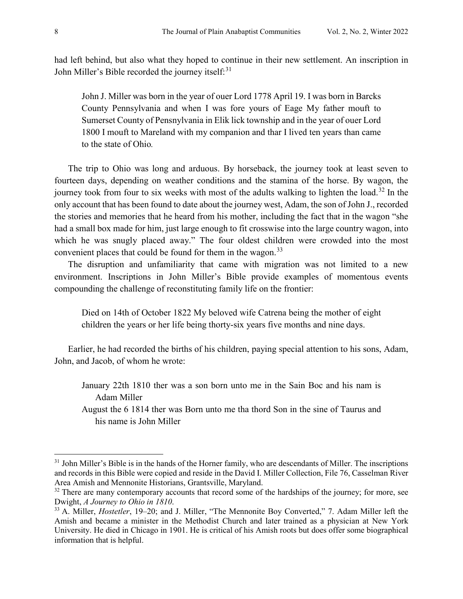had left behind, but also what they hoped to continue in their new settlement. An inscription in John Miller's Bible recorded the journey itself: [31](#page-7-0)

John J. Miller was born in the year of ouer Lord 1778 April 19. I was born in Barcks County Pennsylvania and when I was fore yours of Eage My father mouft to Sumerset County of Pensnylvania in Elik lick township and in the year of ouer Lord 1800 I mouft to Mareland with my companion and thar I lived ten years than came to the state of Ohio*.*

The trip to Ohio was long and arduous. By horseback, the journey took at least seven to fourteen days, depending on weather conditions and the stamina of the horse. By wagon, the journey took from four to six weeks with most of the adults walking to lighten the load.<sup>[32](#page-7-1)</sup> In the only account that has been found to date about the journey west, Adam, the son of John J., recorded the stories and memories that he heard from his mother, including the fact that in the wagon "she had a small box made for him, just large enough to fit crosswise into the large country wagon, into which he was snugly placed away." The four oldest children were crowded into the most convenient places that could be found for them in the wagon.<sup>[33](#page-7-2)</sup>

The disruption and unfamiliarity that came with migration was not limited to a new environment. Inscriptions in John Miller's Bible provide examples of momentous events compounding the challenge of reconstituting family life on the frontier:

Died on 14th of October 1822 My beloved wife Catrena being the mother of eight children the years or her life being thorty-six years five months and nine days.

Earlier, he had recorded the births of his children, paying special attention to his sons, Adam, John, and Jacob, of whom he wrote:

January 22th 1810 ther was a son born unto me in the Sain Boc and his nam is Adam Miller

August the 6 1814 ther was Born unto me tha thord Son in the sine of Taurus and his name is John Miller

<span id="page-7-0"></span><sup>&</sup>lt;sup>31</sup> John Miller's Bible is in the hands of the Horner family, who are descendants of Miller. The inscriptions and records in this Bible were copied and reside in the David I. Miller Collection, File 76, Casselman River Area Amish and Mennonite Historians, Grantsville, Maryland.

<span id="page-7-1"></span><sup>&</sup>lt;sup>32</sup> There are many contemporary accounts that record some of the hardships of the journey; for more, see Dwight, *A Journey to Ohio in 1810*.

<span id="page-7-2"></span><sup>33</sup> A. Miller, *Hostetler*, 19–20; and J. Miller, "The Mennonite Boy Converted," 7. Adam Miller left the Amish and became a minister in the Methodist Church and later trained as a physician at New York University. He died in Chicago in 1901. He is critical of his Amish roots but does offer some biographical information that is helpful.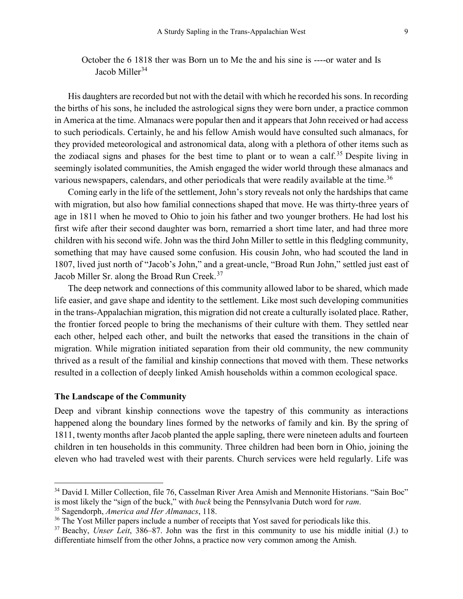# October the 6 1818 ther was Born un to Me the and his sine is ----or water and Is Jacob Miller<sup>[34](#page-8-0)</sup>

His daughters are recorded but not with the detail with which he recorded his sons. In recording the births of his sons, he included the astrological signs they were born under, a practice common in America at the time. Almanacs were popular then and it appears that John received or had access to such periodicals. Certainly, he and his fellow Amish would have consulted such almanacs, for they provided meteorological and astronomical data, along with a plethora of other items such as the zodiacal signs and phases for the best time to plant or to wean a calf.<sup>[35](#page-8-1)</sup> Despite living in seemingly isolated communities, the Amish engaged the wider world through these almanacs and various newspapers, calendars, and other periodicals that were readily available at the time.<sup>[36](#page-8-2)</sup>

Coming early in the life of the settlement, John's story reveals not only the hardships that came with migration, but also how familial connections shaped that move. He was thirty-three years of age in 1811 when he moved to Ohio to join his father and two younger brothers. He had lost his first wife after their second daughter was born, remarried a short time later, and had three more children with his second wife. John was the third John Miller to settle in this fledgling community, something that may have caused some confusion. His cousin John, who had scouted the land in 1807, lived just north of "Jacob's John," and a great-uncle, "Broad Run John," settled just east of Jacob Miller Sr. along the Broad Run Creek.[37](#page-8-3)

The deep network and connections of this community allowed labor to be shared, which made life easier, and gave shape and identity to the settlement. Like most such developing communities in the trans-Appalachian migration, this migration did not create a culturally isolated place. Rather, the frontier forced people to bring the mechanisms of their culture with them. They settled near each other, helped each other, and built the networks that eased the transitions in the chain of migration. While migration initiated separation from their old community, the new community thrived as a result of the familial and kinship connections that moved with them. These networks resulted in a collection of deeply linked Amish households within a common ecological space.

#### **The Landscape of the Community**

Deep and vibrant kinship connections wove the tapestry of this community as interactions happened along the boundary lines formed by the networks of family and kin. By the spring of 1811, twenty months after Jacob planted the apple sapling, there were nineteen adults and fourteen children in ten households in this community. Three children had been born in Ohio, joining the eleven who had traveled west with their parents. Church services were held regularly. Life was

<span id="page-8-0"></span><sup>&</sup>lt;sup>34</sup> David I. Miller Collection, file 76, Casselman River Area Amish and Mennonite Historians. "Sain Boc" is most likely the "sign of the buck," with *buck* being the Pennsylvania Dutch word for *ram*. 35 Sagendorph, *America and Her Almanacs*, 118.

<span id="page-8-1"></span>

<span id="page-8-2"></span><sup>&</sup>lt;sup>36</sup> The Yost Miller papers include a number of receipts that Yost saved for periodicals like this.

<span id="page-8-3"></span><sup>37</sup> Beachy, *Unser Leit*, 386–87. John was the first in this community to use his middle initial (J.) to differentiate himself from the other Johns, a practice now very common among the Amish.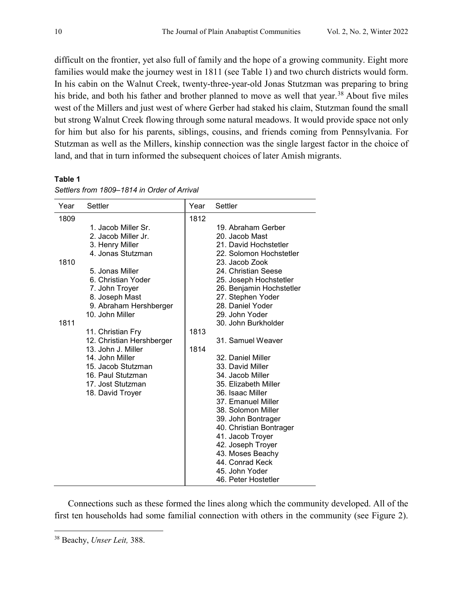difficult on the frontier, yet also full of family and the hope of a growing community. Eight more families would make the journey west in 1811 (see Table 1) and two church districts would form. In his cabin on the Walnut Creek, twenty-three-year-old Jonas Stutzman was preparing to bring his bride, and both his father and brother planned to move as well that year.<sup>[38](#page-9-0)</sup> About five miles west of the Millers and just west of where Gerber had staked his claim, Stutzman found the small but strong Walnut Creek flowing through some natural meadows. It would provide space not only for him but also for his parents, siblings, cousins, and friends coming from Pennsylvania. For Stutzman as well as the Millers, kinship connection was the single largest factor in the choice of land, and that in turn informed the subsequent choices of later Amish migrants.

## **Table 1**

| Year         | Settler                                                                                                                                                                                                                                                                                               | Year         | Settler                                                                                                                                                                                                                                                                                                                                                                                                                                                                                                                           |
|--------------|-------------------------------------------------------------------------------------------------------------------------------------------------------------------------------------------------------------------------------------------------------------------------------------------------------|--------------|-----------------------------------------------------------------------------------------------------------------------------------------------------------------------------------------------------------------------------------------------------------------------------------------------------------------------------------------------------------------------------------------------------------------------------------------------------------------------------------------------------------------------------------|
| 1809         |                                                                                                                                                                                                                                                                                                       | 1812         |                                                                                                                                                                                                                                                                                                                                                                                                                                                                                                                                   |
|              | 1. Jacob Miller Sr.<br>2. Jacob Miller Jr.<br>3. Henry Miller<br>4. Jonas Stutzman                                                                                                                                                                                                                    |              | 19. Abraham Gerber<br>20. Jacob Mast<br>21. David Hochstetler<br>22. Solomon Hochstetler                                                                                                                                                                                                                                                                                                                                                                                                                                          |
| 1810<br>1811 | 5. Jonas Miller<br>6. Christian Yoder<br>7. John Troyer<br>8. Joseph Mast<br>9. Abraham Hershberger<br>10. John Miller<br>11. Christian Fry<br>12. Christian Hershberger<br>13. John J. Miller<br>14. John Miller<br>15. Jacob Stutzman<br>16. Paul Stutzman<br>17. Jost Stutzman<br>18. David Troyer | 1813<br>1814 | 23. Jacob Zook<br>24. Christian Seese<br>25. Joseph Hochstetler<br>26. Benjamin Hochstetler<br>27. Stephen Yoder<br>28. Daniel Yoder<br>29. John Yoder<br>30. John Burkholder<br>31. Samuel Weaver<br>32. Daniel Miller<br>33. David Miller<br>34. Jacob Miller<br>35. Elizabeth Miller<br>36. Isaac Miller<br>37. Emanuel Miller<br>38. Solomon Miller<br>39. John Bontrager<br>40. Christian Bontrager<br>41. Jacob Troyer<br>42. Joseph Troyer<br>43. Moses Beachy<br>44. Conrad Keck<br>45. John Yoder<br>46. Peter Hostetler |

*Settlers from 1809–1814 in Order of Arrival*

Connections such as these formed the lines along which the community developed. All of the first ten households had some familial connection with others in the community (see Figure 2).

<span id="page-9-0"></span><sup>38</sup> Beachy, *Unser Leit,* 388.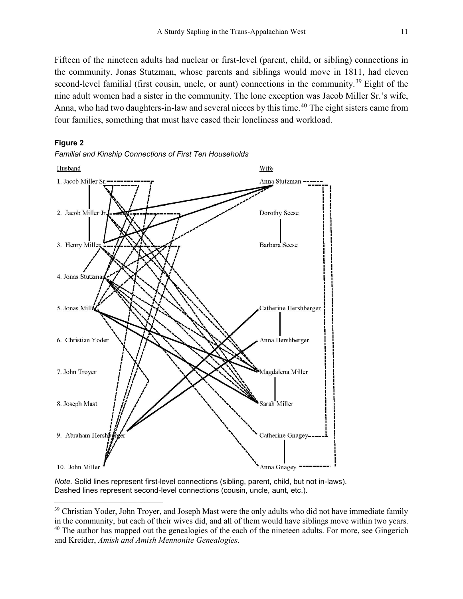Fifteen of the nineteen adults had nuclear or first-level (parent, child, or sibling) connections in the community. Jonas Stutzman, whose parents and siblings would move in 1811, had eleven second-level familial (first cousin, uncle, or aunt) connections in the community.<sup>[39](#page-10-0)</sup> Eight of the nine adult women had a sister in the community. The lone exception was Jacob Miller Sr.'s wife, Anna, who had two daughters-in-law and several nieces by this time.<sup>[40](#page-10-1)</sup> The eight sisters came from four families, something that must have eased their loneliness and workload.



*Familial and Kinship Connections of First Ten Households*



*Note.* Solid lines represent first-level connections (sibling, parent, child, but not in-laws). Dashed lines represent second-level connections (cousin, uncle, aunt, etc.).

<span id="page-10-1"></span><span id="page-10-0"></span> $\overline{a}$ <sup>39</sup> Christian Yoder, John Troyer, and Joseph Mast were the only adults who did not have immediate family in the community, but each of their wives did, and all of them would have siblings move within two years. <sup>40</sup> The author has mapped out the genealogies of the each of the nineteen adults. For more, see Gingerich and Kreider, *Amish and Amish Mennonite Genealogies*.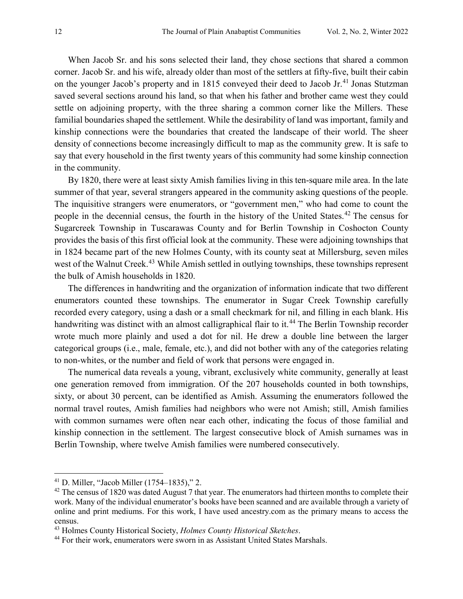When Jacob Sr. and his sons selected their land, they chose sections that shared a common corner. Jacob Sr. and his wife, already older than most of the settlers at fifty-five, built their cabin on the younger Jacob's property and in 1815 conveyed their deed to Jacob Jr.<sup>[41](#page-11-0)</sup> Jonas Stutzman saved several sections around his land, so that when his father and brother came west they could settle on adjoining property, with the three sharing a common corner like the Millers. These familial boundaries shaped the settlement. While the desirability of land was important, family and kinship connections were the boundaries that created the landscape of their world. The sheer density of connections become increasingly difficult to map as the community grew. It is safe to say that every household in the first twenty years of this community had some kinship connection in the community.

By 1820, there were at least sixty Amish families living in this ten-square mile area. In the late summer of that year, several strangers appeared in the community asking questions of the people. The inquisitive strangers were enumerators, or "government men," who had come to count the people in the decennial census, the fourth in the history of the United States.<sup>[42](#page-11-1)</sup> The census for Sugarcreek Township in Tuscarawas County and for Berlin Township in Coshocton County provides the basis of this first official look at the community. These were adjoining townships that in 1824 became part of the new Holmes County, with its county seat at Millersburg, seven miles west of the Walnut Creek.<sup>[43](#page-11-2)</sup> While Amish settled in outlying townships, these townships represent the bulk of Amish households in 1820.

The differences in handwriting and the organization of information indicate that two different enumerators counted these townships. The enumerator in Sugar Creek Township carefully recorded every category, using a dash or a small checkmark for nil, and filling in each blank. His handwriting was distinct with an almost calligraphical flair to it.<sup>[44](#page-11-3)</sup> The Berlin Township recorder wrote much more plainly and used a dot for nil. He drew a double line between the larger categorical groups (i.e., male, female, etc.), and did not bother with any of the categories relating to non-whites, or the number and field of work that persons were engaged in.

The numerical data reveals a young, vibrant, exclusively white community, generally at least one generation removed from immigration. Of the 207 households counted in both townships, sixty, or about 30 percent, can be identified as Amish. Assuming the enumerators followed the normal travel routes, Amish families had neighbors who were not Amish; still, Amish families with common surnames were often near each other, indicating the focus of those familial and kinship connection in the settlement. The largest consecutive block of Amish surnames was in Berlin Township, where twelve Amish families were numbered consecutively.

<span id="page-11-0"></span> $41$  D. Miller, "Jacob Miller (1754–1835)," 2.

<span id="page-11-1"></span> $42$  The census of 1820 was dated August 7 that year. The enumerators had thirteen months to complete their work. Many of the individual enumerator's books have been scanned and are available through a variety of online and print mediums. For this work, I have used ancestry.com as the primary means to access the census.

<span id="page-11-2"></span><sup>43</sup> Holmes County Historical Society, *Holmes County Historical Sketches*.

<span id="page-11-3"></span><sup>&</sup>lt;sup>44</sup> For their work, enumerators were sworn in as Assistant United States Marshals.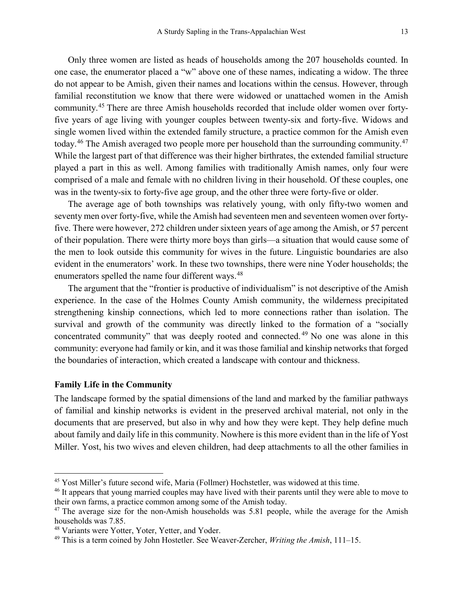Only three women are listed as heads of households among the 207 households counted. In one case, the enumerator placed a "w" above one of these names, indicating a widow. The three do not appear to be Amish, given their names and locations within the census. However, through familial reconstitution we know that there were widowed or unattached women in the Amish community.[45](#page-12-0) There are three Amish households recorded that include older women over fortyfive years of age living with younger couples between twenty-six and forty-five. Widows and single women lived within the extended family structure, a practice common for the Amish even today.<sup>[46](#page-12-1)</sup> The Amish averaged two people more per household than the surrounding community.<sup>[47](#page-12-2)</sup> While the largest part of that difference was their higher birthrates, the extended familial structure played a part in this as well. Among families with traditionally Amish names, only four were comprised of a male and female with no children living in their household. Of these couples, one was in the twenty-six to forty-five age group, and the other three were forty-five or older.

The average age of both townships was relatively young, with only fifty-two women and seventy men over forty-five, while the Amish had seventeen men and seventeen women over fortyfive. There were however, 272 children under sixteen years of age among the Amish, or 57 percent of their population. There were thirty more boys than girls—a situation that would cause some of the men to look outside this community for wives in the future. Linguistic boundaries are also evident in the enumerators' work. In these two townships, there were nine Yoder households; the enumerators spelled the name four different ways.<sup>[48](#page-12-3)</sup>

The argument that the "frontier is productive of individualism" is not descriptive of the Amish experience. In the case of the Holmes County Amish community, the wilderness precipitated strengthening kinship connections, which led to more connections rather than isolation. The survival and growth of the community was directly linked to the formation of a "socially concentrated community" that was deeply rooted and connected. [49](#page-12-4) No one was alone in this community: everyone had family or kin, and it was those familial and kinship networks that forged the boundaries of interaction, which created a landscape with contour and thickness.

### **Family Life in the Community**

The landscape formed by the spatial dimensions of the land and marked by the familiar pathways of familial and kinship networks is evident in the preserved archival material, not only in the documents that are preserved, but also in why and how they were kept. They help define much about family and daily life in this community. Nowhere is this more evident than in the life of Yost Miller. Yost, his two wives and eleven children, had deep attachments to all the other families in

<span id="page-12-0"></span><sup>&</sup>lt;sup>45</sup> Yost Miller's future second wife, Maria (Follmer) Hochstetler, was widowed at this time.

<span id="page-12-1"></span><sup>&</sup>lt;sup>46</sup> It appears that young married couples may have lived with their parents until they were able to move to their own farms, a practice common among some of the Amish today.

<span id="page-12-2"></span><sup>&</sup>lt;sup>47</sup> The average size for the non-Amish households was 5.81 people, while the average for the Amish households was 7.85.

<span id="page-12-3"></span><sup>48</sup> Variants were Yotter, Yoter, Yetter, and Yoder.

<span id="page-12-4"></span><sup>49</sup> This is a term coined by John Hostetler. See Weaver-Zercher, *Writing the Amish*, 111–15.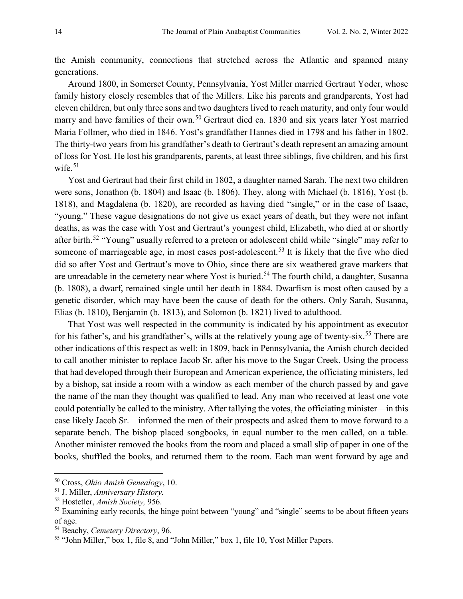the Amish community, connections that stretched across the Atlantic and spanned many generations.

Around 1800, in Somerset County, Pennsylvania, Yost Miller married Gertraut Yoder, whose family history closely resembles that of the Millers. Like his parents and grandparents, Yost had eleven children, but only three sons and two daughters lived to reach maturity, and only four would marry and have families of their own.<sup>[50](#page-13-0)</sup> Gertraut died ca. 1830 and six years later Yost married Maria Follmer, who died in 1846. Yost's grandfather Hannes died in 1798 and his father in 1802. The thirty-two years from his grandfather's death to Gertraut's death represent an amazing amount of loss for Yost. He lost his grandparents, parents, at least three siblings, five children, and his first wife. $51$ 

Yost and Gertraut had their first child in 1802, a daughter named Sarah. The next two children were sons, Jonathon (b. 1804) and Isaac (b. 1806). They, along with Michael (b. 1816), Yost (b. 1818), and Magdalena (b. 1820), are recorded as having died "single," or in the case of Isaac, "young." These vague designations do not give us exact years of death, but they were not infant deaths, as was the case with Yost and Gertraut's youngest child, Elizabeth, who died at or shortly after birth.<sup>[52](#page-13-2)</sup> "Young" usually referred to a preteen or adolescent child while "single" may refer to someone of marriageable age, in most cases post-adolescent.<sup>[53](#page-13-3)</sup> It is likely that the five who died did so after Yost and Gertraut's move to Ohio, since there are six weathered grave markers that are unreadable in the cemetery near where Yost is buried.<sup>[54](#page-13-4)</sup> The fourth child, a daughter, Susanna (b. 1808), a dwarf, remained single until her death in 1884. Dwarfism is most often caused by a genetic disorder, which may have been the cause of death for the others. Only Sarah, Susanna, Elias (b. 1810), Benjamin (b. 1813), and Solomon (b. 1821) lived to adulthood.

That Yost was well respected in the community is indicated by his appointment as executor for his father's, and his grandfather's, wills at the relatively young age of twenty-six.<sup>[55](#page-13-5)</sup> There are other indications of this respect as well: in 1809, back in Pennsylvania, the Amish church decided to call another minister to replace Jacob Sr. after his move to the Sugar Creek. Using the process that had developed through their European and American experience, the officiating ministers, led by a bishop, sat inside a room with a window as each member of the church passed by and gave the name of the man they thought was qualified to lead. Any man who received at least one vote could potentially be called to the ministry. After tallying the votes, the officiating minister—in this case likely Jacob Sr.—informed the men of their prospects and asked them to move forward to a separate bench. The bishop placed songbooks, in equal number to the men called, on a table. Another minister removed the books from the room and placed a small slip of paper in one of the books, shuffled the books, and returned them to the room. Each man went forward by age and

<span id="page-13-0"></span><sup>50</sup> Cross, *Ohio Amish Genealogy*, 10.

<span id="page-13-1"></span><sup>51</sup> J. Miller, *Anniversary History.*

<span id="page-13-2"></span><sup>52</sup> Hostetler, *Amish Society,* 956.

<span id="page-13-3"></span><sup>&</sup>lt;sup>53</sup> Examining early records, the hinge point between "young" and "single" seems to be about fifteen years of age.

<span id="page-13-4"></span><sup>54</sup> Beachy, *Cemetery Directory*, 96.

<span id="page-13-5"></span><sup>55</sup> "John Miller," box 1, file 8, and "John Miller," box 1, file 10, Yost Miller Papers.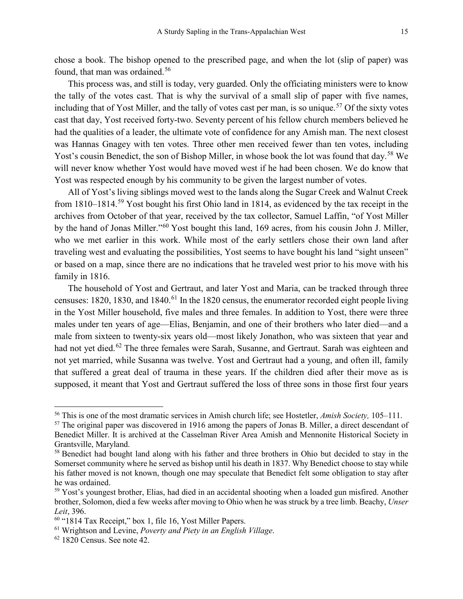chose a book. The bishop opened to the prescribed page, and when the lot (slip of paper) was found, that man was ordained.<sup>[56](#page-14-0)</sup>

This process was, and still is today, very guarded. Only the officiating ministers were to know the tally of the votes cast. That is why the survival of a small slip of paper with five names, including that of Yost Miller, and the tally of votes cast per man, is so unique.<sup>[57](#page-14-1)</sup> Of the sixty votes cast that day, Yost received forty-two. Seventy percent of his fellow church members believed he had the qualities of a leader, the ultimate vote of confidence for any Amish man. The next closest was Hannas Gnagey with ten votes. Three other men received fewer than ten votes, including Yost's cousin Benedict, the son of Bishop Miller, in whose book the lot was found that day.<sup>[58](#page-14-2)</sup> We will never know whether Yost would have moved west if he had been chosen. We do know that Yost was respected enough by his community to be given the largest number of votes.

All of Yost's living siblings moved west to the lands along the Sugar Creek and Walnut Creek from 1810–1814.<sup>[59](#page-14-3)</sup> Yost bought his first Ohio land in 1814, as evidenced by the tax receipt in the archives from October of that year, received by the tax collector, Samuel Laffin, "of Yost Miller by the hand of Jonas Miller."[60](#page-14-4) Yost bought this land, 169 acres, from his cousin John J. Miller, who we met earlier in this work. While most of the early settlers chose their own land after traveling west and evaluating the possibilities, Yost seems to have bought his land "sight unseen" or based on a map, since there are no indications that he traveled west prior to his move with his family in 1816.

The household of Yost and Gertraut, and later Yost and Maria, can be tracked through three censuses: 1820, 1830, and 1840.<sup>[61](#page-14-5)</sup> In the 1820 census, the enumerator recorded eight people living in the Yost Miller household, five males and three females. In addition to Yost, there were three males under ten years of age—Elias, Benjamin, and one of their brothers who later died—and a male from sixteen to twenty-six years old—most likely Jonathon, who was sixteen that year and had not yet died.<sup>[62](#page-14-6)</sup> The three females were Sarah, Susanne, and Gertraut. Sarah was eighteen and not yet married, while Susanna was twelve. Yost and Gertraut had a young, and often ill, family that suffered a great deal of trauma in these years. If the children died after their move as is supposed, it meant that Yost and Gertraut suffered the loss of three sons in those first four years

<span id="page-14-0"></span><sup>56</sup> This is one of the most dramatic services in Amish church life; see Hostetler, *Amish Society,* 105–111.

<span id="page-14-1"></span><sup>&</sup>lt;sup>57</sup> The original paper was discovered in 1916 among the papers of Jonas B. Miller, a direct descendant of Benedict Miller. It is archived at the Casselman River Area Amish and Mennonite Historical Society in Grantsville, Maryland.

<span id="page-14-2"></span><sup>&</sup>lt;sup>58</sup> Benedict had bought land along with his father and three brothers in Ohio but decided to stay in the Somerset community where he served as bishop until his death in 1837. Why Benedict choose to stay while his father moved is not known, though one may speculate that Benedict felt some obligation to stay after he was ordained.

<span id="page-14-3"></span><sup>&</sup>lt;sup>59</sup> Yost's youngest brother, Elias, had died in an accidental shooting when a loaded gun misfired. Another brother, Solomon, died a few weeks after moving to Ohio when he was struck by a tree limb. Beachy, *Unser Leit*, 396.

<span id="page-14-4"></span><sup>60</sup> "1814 Tax Receipt," box 1, file 16, Yost Miller Papers.

<span id="page-14-5"></span><sup>&</sup>lt;sup>61</sup> Wrightson and Levine, *Poverty and Piety in an English Village*.<br><sup>62</sup> 1820 Census. See note 42.

<span id="page-14-6"></span>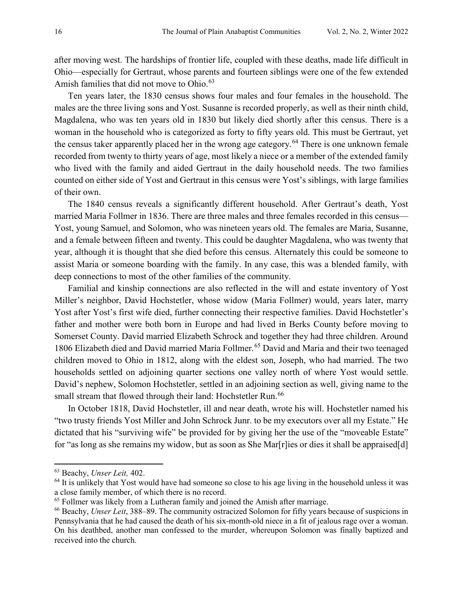after moving west. The hardships of frontier life, coupled with these deaths, made life difficult in Ohio—especially for Gertraut, whose parents and fourteen siblings were one of the few extended Amish families that did not move to Ohio.<sup>[63](#page-15-0)</sup>

Ten years later, the 1830 census shows four males and four females in the household. The males are the three living sons and Yost. Susanne is recorded properly, as well as their ninth child, Magdalena, who was ten years old in 1830 but likely died shortly after this census. There is a woman in the household who is categorized as forty to fifty years old. This must be Gertraut, yet the census taker apparently placed her in the wrong age category.<sup>[64](#page-15-1)</sup> There is one unknown female recorded from twenty to thirty years of age, most likely a niece or a member of the extended family who lived with the family and aided Gertraut in the daily household needs. The two families counted on either side of Yost and Gertraut in this census were Yost's siblings, with large families of their own.

The 1840 census reveals a significantly different household. After Gertraut's death, Yost married Maria Follmer in 1836. There are three males and three females recorded in this census— Yost, young Samuel, and Solomon, who was nineteen years old. The females are Maria, Susanne, and a female between fifteen and twenty. This could be daughter Magdalena, who was twenty that year, although it is thought that she died before this census. Alternately this could be someone to assist Maria or someone boarding with the family. In any case, this was a blended family, with deep connections to most of the other families of the community.

Familial and kinship connections are also reflected in the will and estate inventory of Yost Miller's neighbor, David Hochstetler, whose widow (Maria Follmer) would, years later, marry Yost after Yost's first wife died, further connecting their respective families. David Hochstetler's father and mother were both born in Europe and had lived in Berks County before moving to Somerset County. David married Elizabeth Schrock and together they had three children. Around 1806 Elizabeth died and David married Maria Follmer.<sup>[65](#page-15-2)</sup> David and Maria and their two teenaged children moved to Ohio in 1812, along with the eldest son, Joseph, who had married. The two households settled on adjoining quarter sections one valley north of where Yost would settle. David's nephew, Solomon Hochstetler, settled in an adjoining section as well, giving name to the small stream that flowed through their land: Hochstetler Run.<sup>[66](#page-15-3)</sup>

In October 1818, David Hochstetler, ill and near death, wrote his will. Hochstetler named his "two trusty friends Yost Miller and John Schrock Junr. to be my executors over all my Estate." He dictated that his "surviving wife" be provided for by giving her the use of the "moveable Estate" for "as long as she remains my widow, but as soon as She Mar[r]ies or dies it shall be appraised[d]

<span id="page-15-0"></span><sup>63</sup> Beachy, *Unser Leit,* 402.

<span id="page-15-1"></span><sup>&</sup>lt;sup>64</sup> It is unlikely that Yost would have had someone so close to his age living in the household unless it was a close family member, of which there is no record.

<span id="page-15-2"></span><sup>&</sup>lt;sup>65</sup> Follmer was likely from a Lutheran family and joined the Amish after marriage.

<span id="page-15-3"></span><sup>66</sup> Beachy, *Unser Leit*, 388–89. The community ostracized Solomon for fifty years because of suspicions in Pennsylvania that he had caused the death of his six-month-old niece in a fit of jealous rage over a woman. On his deathbed, another man confessed to the murder, whereupon Solomon was finally baptized and received into the church.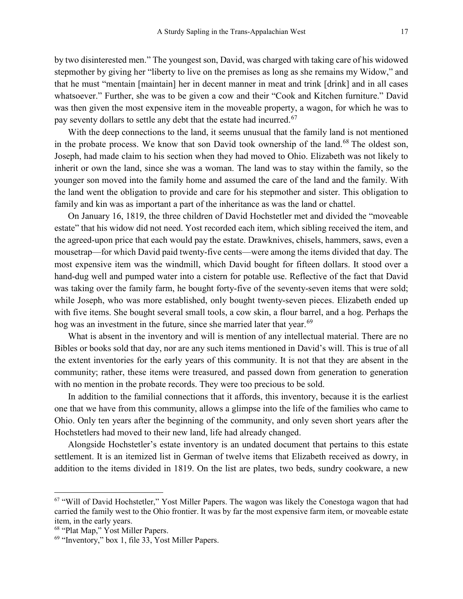by two disinterested men." The youngest son, David, was charged with taking care of his widowed stepmother by giving her "liberty to live on the premises as long as she remains my Widow," and that he must "mentain [maintain] her in decent manner in meat and trink [drink] and in all cases whatsoever." Further, she was to be given a cow and their "Cook and Kitchen furniture." David was then given the most expensive item in the moveable property, a wagon, for which he was to pay seventy dollars to settle any debt that the estate had incurred.<sup>[67](#page-16-0)</sup>

With the deep connections to the land, it seems unusual that the family land is not mentioned in the probate process. We know that son David took ownership of the land.<sup>[68](#page-16-1)</sup> The oldest son, Joseph, had made claim to his section when they had moved to Ohio. Elizabeth was not likely to inherit or own the land, since she was a woman. The land was to stay within the family, so the younger son moved into the family home and assumed the care of the land and the family. With the land went the obligation to provide and care for his stepmother and sister. This obligation to family and kin was as important a part of the inheritance as was the land or chattel.

On January 16, 1819, the three children of David Hochstetler met and divided the "moveable estate" that his widow did not need. Yost recorded each item, which sibling received the item, and the agreed-upon price that each would pay the estate. Drawknives, chisels, hammers, saws, even a mousetrap—for which David paid twenty-five cents—were among the items divided that day. The most expensive item was the windmill, which David bought for fifteen dollars. It stood over a hand-dug well and pumped water into a cistern for potable use. Reflective of the fact that David was taking over the family farm, he bought forty-five of the seventy-seven items that were sold; while Joseph, who was more established, only bought twenty-seven pieces. Elizabeth ended up with five items. She bought several small tools, a cow skin, a flour barrel, and a hog. Perhaps the hog was an investment in the future, since she married later that year.<sup>[69](#page-16-2)</sup>

What is absent in the inventory and will is mention of any intellectual material. There are no Bibles or books sold that day, nor are any such items mentioned in David's will. This is true of all the extent inventories for the early years of this community. It is not that they are absent in the community; rather, these items were treasured, and passed down from generation to generation with no mention in the probate records. They were too precious to be sold.

In addition to the familial connections that it affords, this inventory, because it is the earliest one that we have from this community, allows a glimpse into the life of the families who came to Ohio. Only ten years after the beginning of the community, and only seven short years after the Hochstetlers had moved to their new land, life had already changed.

Alongside Hochstetler's estate inventory is an undated document that pertains to this estate settlement. It is an itemized list in German of twelve items that Elizabeth received as dowry, in addition to the items divided in 1819. On the list are plates, two beds, sundry cookware, a new

<span id="page-16-0"></span><sup>&</sup>lt;sup>67</sup> "Will of David Hochstetler," Yost Miller Papers. The wagon was likely the Conestoga wagon that had carried the family west to the Ohio frontier. It was by far the most expensive farm item, or moveable estate item, in the early years.

<span id="page-16-1"></span><sup>68</sup> "Plat Map," Yost Miller Papers.

<span id="page-16-2"></span><sup>69</sup> "Inventory," box 1, file 33, Yost Miller Papers.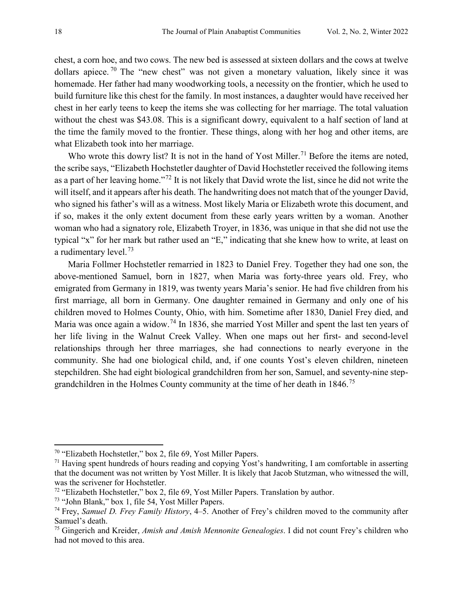chest, a corn hoe, and two cows. The new bed is assessed at sixteen dollars and the cows at twelve dollars apiece. <sup>[70](#page-17-0)</sup> The "new chest" was not given a monetary valuation, likely since it was homemade. Her father had many woodworking tools, a necessity on the frontier, which he used to build furniture like this chest for the family. In most instances, a daughter would have received her chest in her early teens to keep the items she was collecting for her marriage. The total valuation without the chest was \$43.08. This is a significant dowry, equivalent to a half section of land at the time the family moved to the frontier. These things, along with her hog and other items, are what Elizabeth took into her marriage.

Who wrote this dowry list? It is not in the hand of Yost Miller.<sup>[71](#page-17-1)</sup> Before the items are noted, the scribe says, "Elizabeth Hochstetler daughter of David Hochstetler received the following items as a part of her leaving home."[72](#page-17-2) It is not likely that David wrote the list, since he did not write the will itself, and it appears after his death. The handwriting does not match that of the younger David, who signed his father's will as a witness. Most likely Maria or Elizabeth wrote this document, and if so, makes it the only extent document from these early years written by a woman. Another woman who had a signatory role, Elizabeth Troyer, in 1836, was unique in that she did not use the typical "x" for her mark but rather used an "E," indicating that she knew how to write, at least on a rudimentary level.<sup>[73](#page-17-3)</sup>

Maria Follmer Hochstetler remarried in 1823 to Daniel Frey. Together they had one son, the above-mentioned Samuel, born in 1827, when Maria was forty-three years old. Frey, who emigrated from Germany in 1819, was twenty years Maria's senior. He had five children from his first marriage, all born in Germany. One daughter remained in Germany and only one of his children moved to Holmes County, Ohio, with him. Sometime after 1830, Daniel Frey died, and Maria was once again a widow.<sup>[74](#page-17-4)</sup> In 1836, she married Yost Miller and spent the last ten years of her life living in the Walnut Creek Valley. When one maps out her first- and second-level relationships through her three marriages, she had connections to nearly everyone in the community. She had one biological child, and, if one counts Yost's eleven children, nineteen stepchildren. She had eight biological grandchildren from her son, Samuel, and seventy-nine stepgrandchildren in the Holmes County community at the time of her death in 1846.[75](#page-17-5)

<span id="page-17-0"></span><sup>70</sup> "Elizabeth Hochstetler," box 2, file 69, Yost Miller Papers.

<span id="page-17-1"></span> $71$  Having spent hundreds of hours reading and copying Yost's handwriting, I am comfortable in asserting that the document was not written by Yost Miller. It is likely that Jacob Stutzman, who witnessed the will, was the scrivener for Hochstetler.

<span id="page-17-2"></span><sup>72</sup> "Elizabeth Hochstetler," box 2, file 69, Yost Miller Papers. Translation by author.

<span id="page-17-3"></span><sup>73</sup> "John Blank," box 1, file 54, Yost Miller Papers.

<span id="page-17-4"></span><sup>74</sup> Frey, *Samuel D. Frey Family History*, 4–5. Another of Frey's children moved to the community after Samuel's death.

<span id="page-17-5"></span><sup>75</sup> Gingerich and Kreider, *Amish and Amish Mennonite Genealogies*. I did not count Frey's children who had not moved to this area.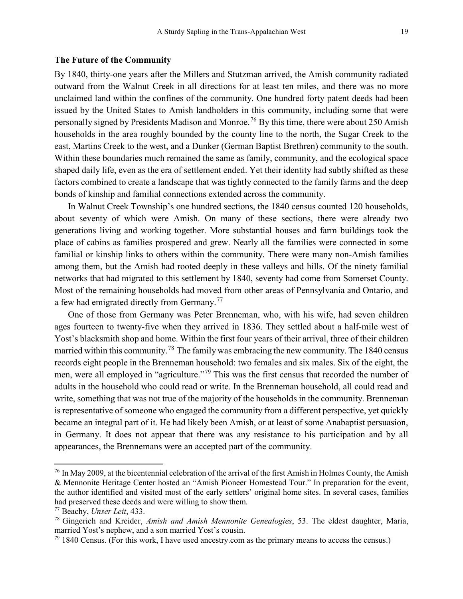#### **The Future of the Community**

By 1840, thirty-one years after the Millers and Stutzman arrived, the Amish community radiated outward from the Walnut Creek in all directions for at least ten miles, and there was no more unclaimed land within the confines of the community. One hundred forty patent deeds had been issued by the United States to Amish landholders in this community, including some that were personally signed by Presidents Madison and Monroe.<sup>[76](#page-18-0)</sup> By this time, there were about 250 Amish households in the area roughly bounded by the county line to the north, the Sugar Creek to the east, Martins Creek to the west, and a Dunker (German Baptist Brethren) community to the south. Within these boundaries much remained the same as family, community, and the ecological space shaped daily life, even as the era of settlement ended. Yet their identity had subtly shifted as these factors combined to create a landscape that was tightly connected to the family farms and the deep bonds of kinship and familial connections extended across the community.

In Walnut Creek Township's one hundred sections, the 1840 census counted 120 households, about seventy of which were Amish. On many of these sections, there were already two generations living and working together. More substantial houses and farm buildings took the place of cabins as families prospered and grew. Nearly all the families were connected in some familial or kinship links to others within the community. There were many non-Amish families among them, but the Amish had rooted deeply in these valleys and hills. Of the ninety familial networks that had migrated to this settlement by 1840, seventy had come from Somerset County. Most of the remaining households had moved from other areas of Pennsylvania and Ontario, and a few had emigrated directly from Germany.<sup>[77](#page-18-1)</sup>

One of those from Germany was Peter Brenneman, who, with his wife, had seven children ages fourteen to twenty-five when they arrived in 1836. They settled about a half-mile west of Yost's blacksmith shop and home. Within the first four years of their arrival, three of their children married within this community.<sup>[78](#page-18-2)</sup> The family was embracing the new community. The 1840 census records eight people in the Brenneman household: two females and six males. Six of the eight, the men, were all employed in "agriculture."<sup>[79](#page-18-3)</sup> This was the first census that recorded the number of adults in the household who could read or write. In the Brenneman household, all could read and write, something that was not true of the majority of the households in the community. Brenneman is representative of someone who engaged the community from a different perspective, yet quickly became an integral part of it. He had likely been Amish, or at least of some Anabaptist persuasion, in Germany. It does not appear that there was any resistance to his participation and by all appearances, the Brennemans were an accepted part of the community.

<span id="page-18-0"></span><sup>76</sup> In May 2009, at the bicentennial celebration of the arrival of the first Amish in Holmes County, the Amish & Mennonite Heritage Center hosted an "Amish Pioneer Homestead Tour." In preparation for the event, the author identified and visited most of the early settlers' original home sites. In several cases, families had preserved these deeds and were willing to show them.

<span id="page-18-1"></span><sup>77</sup> Beachy, *Unser Leit*, 433.

<span id="page-18-2"></span><sup>78</sup> Gingerich and Kreider, *Amish and Amish Mennonite Genealogies*, 53. The eldest daughter, Maria, married Yost's nephew, and a son married Yost's cousin.

<span id="page-18-3"></span> $79$  1840 Census. (For this work, I have used ancestry.com as the primary means to access the census.)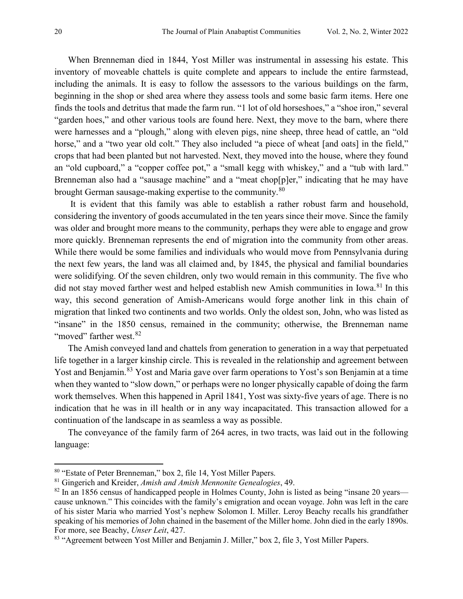When Brenneman died in 1844, Yost Miller was instrumental in assessing his estate. This inventory of moveable chattels is quite complete and appears to include the entire farmstead, including the animals. It is easy to follow the assessors to the various buildings on the farm, beginning in the shop or shed area where they assess tools and some basic farm items. Here one finds the tools and detritus that made the farm run. "1 lot of old horseshoes," a "shoe iron," several "garden hoes," and other various tools are found here. Next, they move to the barn, where there were harnesses and a "plough," along with eleven pigs, nine sheep, three head of cattle, an "old horse," and a "two year old colt." They also included "a piece of wheat [and oats] in the field," crops that had been planted but not harvested. Next, they moved into the house, where they found an "old cupboard," a "copper coffee pot," a "small kegg with whiskey," and a "tub with lard." Brenneman also had a "sausage machine" and a "meat chop[p]er," indicating that he may have brought German sausage-making expertise to the community.<sup>[80](#page-19-0)</sup>

It is evident that this family was able to establish a rather robust farm and household, considering the inventory of goods accumulated in the ten years since their move. Since the family was older and brought more means to the community, perhaps they were able to engage and grow more quickly. Brenneman represents the end of migration into the community from other areas. While there would be some families and individuals who would move from Pennsylvania during the next few years, the land was all claimed and, by 1845, the physical and familial boundaries were solidifying. Of the seven children, only two would remain in this community. The five who did not stay moved farther west and helped establish new Amish communities in Iowa.<sup>[81](#page-19-1)</sup> In this way, this second generation of Amish-Americans would forge another link in this chain of migration that linked two continents and two worlds. Only the oldest son, John, who was listed as "insane" in the 1850 census, remained in the community; otherwise, the Brenneman name "moved" farther west.<sup>[82](#page-19-2)</sup>

The Amish conveyed land and chattels from generation to generation in a way that perpetuated life together in a larger kinship circle. This is revealed in the relationship and agreement between Yost and Benjamin.<sup>[83](#page-19-3)</sup> Yost and Maria gave over farm operations to Yost's son Benjamin at a time when they wanted to "slow down," or perhaps were no longer physically capable of doing the farm work themselves. When this happened in April 1841, Yost was sixty-five years of age. There is no indication that he was in ill health or in any way incapacitated. This transaction allowed for a continuation of the landscape in as seamless a way as possible.

The conveyance of the family farm of 264 acres, in two tracts, was laid out in the following language:

<span id="page-19-0"></span><sup>80</sup> "Estate of Peter Brenneman," box 2, file 14, Yost Miller Papers.

<span id="page-19-1"></span><sup>81</sup> Gingerich and Kreider, *Amish and Amish Mennonite Genealogies*, 49.

<span id="page-19-2"></span><sup>&</sup>lt;sup>82</sup> In an 1856 census of handicapped people in Holmes County, John is listed as being "insane 20 years cause unknown." This coincides with the family's emigration and ocean voyage. John was left in the care of his sister Maria who married Yost's nephew Solomon I. Miller. Leroy Beachy recalls his grandfather speaking of his memories of John chained in the basement of the Miller home. John died in the early 1890s. For more, see Beachy, *Unser Leit*, 427.

<span id="page-19-3"></span><sup>&</sup>lt;sup>83</sup> "Agreement between Yost Miller and Benjamin J. Miller," box 2, file 3, Yost Miller Papers.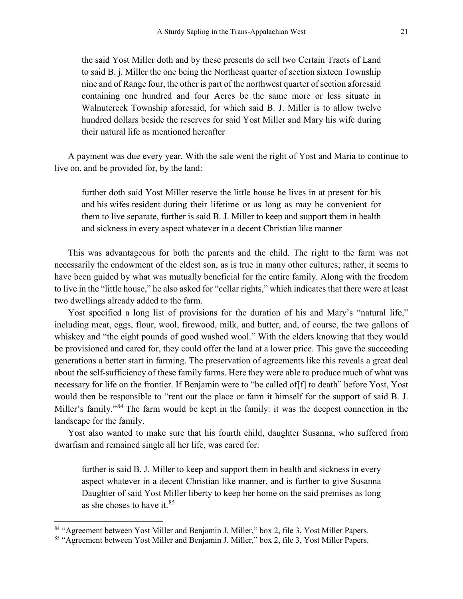the said Yost Miller doth and by these presents do sell two Certain Tracts of Land to said B. j. Miller the one being the Northeast quarter of section sixteen Township nine and of Range four, the other is part of the northwest quarter of section aforesaid containing one hundred and four Acres be the same more or less situate in Walnutcreek Township aforesaid, for which said B. J. Miller is to allow twelve hundred dollars beside the reserves for said Yost Miller and Mary his wife during their natural life as mentioned hereafter

A payment was due every year. With the sale went the right of Yost and Maria to continue to live on, and be provided for, by the land:

further doth said Yost Miller reserve the little house he lives in at present for his and his wifes resident during their lifetime or as long as may be convenient for them to live separate, further is said B. J. Miller to keep and support them in health and sickness in every aspect whatever in a decent Christian like manner

This was advantageous for both the parents and the child. The right to the farm was not necessarily the endowment of the eldest son, as is true in many other cultures; rather, it seems to have been guided by what was mutually beneficial for the entire family. Along with the freedom to live in the "little house," he also asked for "cellar rights," which indicates that there were at least two dwellings already added to the farm.

Yost specified a long list of provisions for the duration of his and Mary's "natural life," including meat, eggs, flour, wool, firewood, milk, and butter, and, of course, the two gallons of whiskey and "the eight pounds of good washed wool." With the elders knowing that they would be provisioned and cared for, they could offer the land at a lower price. This gave the succeeding generations a better start in farming. The preservation of agreements like this reveals a great deal about the self-sufficiency of these family farms. Here they were able to produce much of what was necessary for life on the frontier. If Benjamin were to "be called of[f] to death" before Yost, Yost would then be responsible to "rent out the place or farm it himself for the support of said B. J. Miller's family."[84](#page-20-0) The farm would be kept in the family: it was the deepest connection in the landscape for the family.

Yost also wanted to make sure that his fourth child, daughter Susanna, who suffered from dwarfism and remained single all her life, was cared for:

further is said B. J. Miller to keep and support them in health and sickness in every aspect whatever in a decent Christian like manner, and is further to give Susanna Daughter of said Yost Miller liberty to keep her home on the said premises as long as she choses to have it.<sup>[85](#page-20-1)</sup>

<span id="page-20-0"></span><sup>&</sup>lt;sup>84</sup> "Agreement between Yost Miller and Benjamin J. Miller," box 2, file 3, Yost Miller Papers.

<span id="page-20-1"></span><sup>&</sup>lt;sup>85</sup> "Agreement between Yost Miller and Benjamin J. Miller," box 2, file 3, Yost Miller Papers.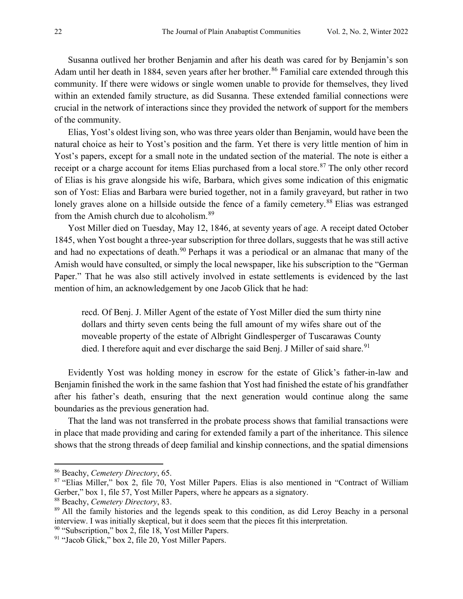Susanna outlived her brother Benjamin and after his death was cared for by Benjamin's son Adam until her death in 1884, seven years after her brother.<sup>[86](#page-21-0)</sup> Familial care extended through this community. If there were widows or single women unable to provide for themselves, they lived within an extended family structure, as did Susanna. These extended familial connections were crucial in the network of interactions since they provided the network of support for the members of the community.

Elias, Yost's oldest living son, who was three years older than Benjamin, would have been the natural choice as heir to Yost's position and the farm. Yet there is very little mention of him in Yost's papers, except for a small note in the undated section of the material. The note is either a receipt or a charge account for items Elias purchased from a local store.<sup>[87](#page-21-1)</sup> The only other record of Elias is his grave alongside his wife, Barbara, which gives some indication of this enigmatic son of Yost: Elias and Barbara were buried together, not in a family graveyard, but rather in two lonely graves alone on a hillside outside the fence of a family cemetery.<sup>[88](#page-21-2)</sup> Elias was estranged from the Amish church due to alcoholism.[89](#page-21-3)

Yost Miller died on Tuesday, May 12, 1846, at seventy years of age. A receipt dated October 1845, when Yost bought a three-year subscription for three dollars, suggests that he was still active and had no expectations of death.<sup>[90](#page-21-4)</sup> Perhaps it was a periodical or an almanac that many of the Amish would have consulted, or simply the local newspaper, like his subscription to the "German Paper." That he was also still actively involved in estate settlements is evidenced by the last mention of him, an acknowledgement by one Jacob Glick that he had:

recd. Of Benj. J. Miller Agent of the estate of Yost Miller died the sum thirty nine dollars and thirty seven cents being the full amount of my wifes share out of the moveable property of the estate of Albright Gindlesperger of Tuscarawas County died. I therefore aquit and ever discharge the said Benj. J Miller of said share.<sup>[91](#page-21-5)</sup>

Evidently Yost was holding money in escrow for the estate of Glick's father-in-law and Benjamin finished the work in the same fashion that Yost had finished the estate of his grandfather after his father's death, ensuring that the next generation would continue along the same boundaries as the previous generation had.

That the land was not transferred in the probate process shows that familial transactions were in place that made providing and caring for extended family a part of the inheritance. This silence shows that the strong threads of deep familial and kinship connections, and the spatial dimensions

<span id="page-21-0"></span><sup>86</sup> Beachy, *Cemetery Directory*, 65.

<span id="page-21-1"></span><sup>87</sup> "Elias Miller," box 2, file 70, Yost Miller Papers. Elias is also mentioned in "Contract of William Gerber," box 1, file 57, Yost Miller Papers, where he appears as a signatory.

<span id="page-21-2"></span><sup>88</sup> Beachy, *Cemetery Directory*, 83.

<span id="page-21-3"></span><sup>&</sup>lt;sup>89</sup> All the family histories and the legends speak to this condition, as did Leroy Beachy in a personal interview. I was initially skeptical, but it does seem that the pieces fit this interpretation.

<span id="page-21-4"></span><sup>&</sup>lt;sup>90</sup> "Subscription," box 2, file 18, Yost Miller Papers.

<span id="page-21-5"></span><sup>&</sup>lt;sup>91</sup> "Jacob Glick," box 2, file 20, Yost Miller Papers.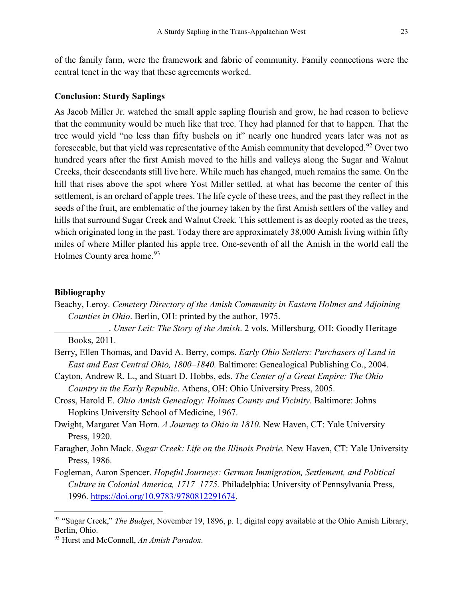of the family farm, were the framework and fabric of community. Family connections were the central tenet in the way that these agreements worked.

## **Conclusion: Sturdy Saplings**

As Jacob Miller Jr. watched the small apple sapling flourish and grow, he had reason to believe that the community would be much like that tree. They had planned for that to happen. That the tree would yield "no less than fifty bushels on it" nearly one hundred years later was not as fore seeable, but that yield was representative of the Amish community that developed.<sup>[92](#page-22-0)</sup> Over two hundred years after the first Amish moved to the hills and valleys along the Sugar and Walnut Creeks, their descendants still live here. While much has changed, much remains the same. On the hill that rises above the spot where Yost Miller settled, at what has become the center of this settlement, is an orchard of apple trees. The life cycle of these trees, and the past they reflect in the seeds of the fruit, are emblematic of the journey taken by the first Amish settlers of the valley and hills that surround Sugar Creek and Walnut Creek. This settlement is as deeply rooted as the trees, which originated long in the past. Today there are approximately 38,000 Amish living within fifty miles of where Miller planted his apple tree. One-seventh of all the Amish in the world call the Holmes County area home.<sup>[93](#page-22-1)</sup>

# **Bibliography**

- Beachy, Leroy. *Cemetery Directory of the Amish Community in Eastern Holmes and Adjoining Counties in Ohio*. Berlin, OH: printed by the author, 1975.
	- \_\_\_\_\_\_\_\_\_\_\_\_. *Unser Leit: The Story of the Amish*. 2 vols. Millersburg, OH: Goodly Heritage Books, 2011.
- Berry, Ellen Thomas, and David A. Berry, comps. *Early Ohio Settlers: Purchasers of Land in East and East Central Ohio, 1800–1840.* Baltimore: Genealogical Publishing Co., 2004.
- Cayton, Andrew R. L., and Stuart D. Hobbs, eds. *The Center of a Great Empire: The Ohio Country in the Early Republic*. Athens, OH: Ohio University Press, 2005.
- Cross, Harold E. *Ohio Amish Genealogy: Holmes County and Vicinity.* Baltimore: Johns Hopkins University School of Medicine, 1967.
- Dwight, Margaret Van Horn. *A Journey to Ohio in 1810.* New Haven, CT: Yale University Press, 1920.
- Faragher, John Mack. *Sugar Creek: Life on the Illinois Prairie.* New Haven, CT: Yale University Press, 1986.
- Fogleman, Aaron Spencer. *Hopeful Journeys: German Immigration, Settlement, and Political Culture in Colonial America, 1717–1775.* Philadelphia: University of Pennsylvania Press, 1996. [https://doi.org/10.9783/9780812291674.](https://doi.org/10.9783/9780812291674)

<span id="page-22-0"></span> $\overline{\phantom{a}}$ <sup>92</sup> "Sugar Creek," *The Budget*, November 19, 1896, p. 1; digital copy available at the Ohio Amish Library, Berlin, Ohio.

<span id="page-22-1"></span><sup>93</sup> Hurst and McConnell, *An Amish Paradox*.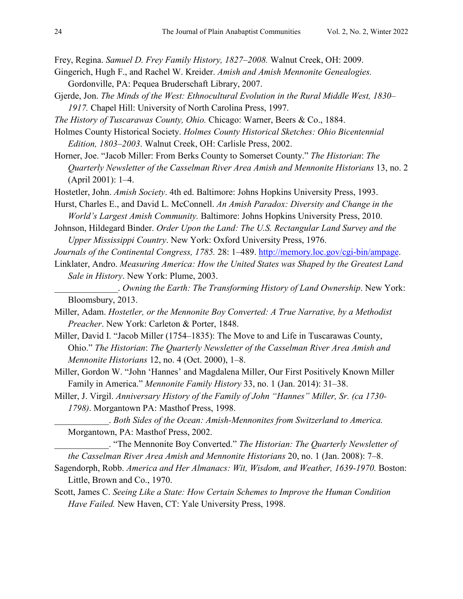Frey, Regina. *Samuel D. Frey Family History, 1827–2008.* Walnut Creek, OH: 2009.

- Gingerich, Hugh F., and Rachel W. Kreider. *Amish and Amish Mennonite Genealogies.*  Gordonville, PA: Pequea Bruderschaft Library, 2007.
- Gjerde, Jon. *The Minds of the West: Ethnocultural Evolution in the Rural Middle West, 1830– 1917.* Chapel Hill: University of North Carolina Press, 1997.
- *The History of Tuscarawas County, Ohio.* Chicago: Warner, Beers & Co., 1884.
- Holmes County Historical Society. *Holmes County Historical Sketches: Ohio Bicentennial Edition, 1803–2003*. Walnut Creek, OH: Carlisle Press, 2002.
- Horner, Joe. "Jacob Miller: From Berks County to Somerset County." *The Historian*: *The Quarterly Newsletter of the Casselman River Area Amish and Mennonite Historians* 13, no. 2 (April 2001): 1–4.
- Hostetler, John. *Amish Society*. 4th ed. Baltimore: Johns Hopkins University Press, 1993.

Hurst, Charles E., and David L. McConnell. *An Amish Paradox: Diversity and Change in the World's Largest Amish Community.* Baltimore: Johns Hopkins University Press, 2010.

Johnson, Hildegard Binder. *Order Upon the Land: The U.S. Rectangular Land Survey and the Upper Mississippi Country*. New York: Oxford University Press, 1976.

- *Journals of the Continental Congress, 1785.* 28: 1–489. [http://memory.loc.gov/cgi-bin/ampage.](http://memory.loc.gov/cgi-bin/ampage)
- Linklater, Andro. *Measuring America: How the United States was Shaped by the Greatest Land Sale in History*. New York: Plume, 2003.
- \_\_\_\_\_\_\_\_\_\_\_\_\_\_. *Owning the Earth: The Transforming History of Land Ownership*. New York: Bloomsbury, 2013.
- Miller, Adam. *Hostetler, or the Mennonite Boy Converted: A True Narrative, by a Methodist Preacher*. New York: Carleton & Porter, 1848.
- Miller, David I. "Jacob Miller (1754–1835): The Move to and Life in Tuscarawas County, Ohio." *The Historian*: *The Quarterly Newsletter of the Casselman River Area Amish and Mennonite Historians* 12, no. 4 (Oct. 2000), 1–8.
- Miller, Gordon W. "John 'Hannes' and Magdalena Miller, Our First Positively Known Miller Family in America." *Mennonite Family History* 33, no. 1 (Jan. 2014): 31–38.
- Miller, J. Virgil. *Anniversary History of the Family of John "Hannes" Miller, Sr. (ca 1730- 1798)*. Morgantown PA: Masthof Press, 1998.

\_\_\_\_\_\_\_\_\_\_\_\_. *Both Sides of the Ocean: Amish-Mennonites from Switzerland to America.* Morgantown, PA: Masthof Press, 2002.

\_\_\_\_\_\_\_\_\_\_\_\_. "The Mennonite Boy Converted." *The Historian: The Quarterly Newsletter of the Casselman River Area Amish and Mennonite Historians* 20, no. 1 (Jan. 2008): 7–8.

- Sagendorph, Robb. America and Her Almanacs: Wit, Wisdom, and Weather, 1639-1970. Boston: Little, Brown and Co., 1970.
- Scott, James C. *Seeing Like a State: How Certain Schemes to Improve the Human Condition Have Failed.* New Haven, CT: Yale University Press, 1998.